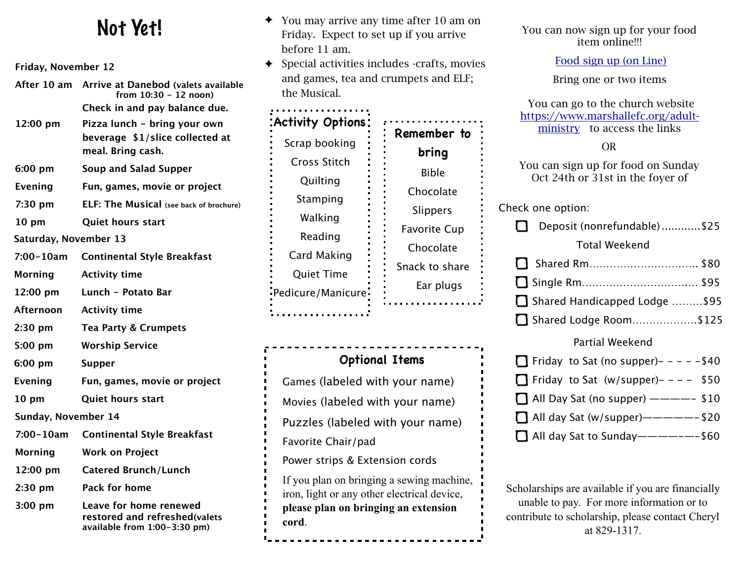## Not Yet!

**Friday, November 12**

| After 10 am           | Arrive at Danebod (valets available<br>from 10:30 - 12 noon)                            |  |  |
|-----------------------|-----------------------------------------------------------------------------------------|--|--|
|                       | Check in and pay balance due.                                                           |  |  |
| 12:00 pm              | Pizza lunch - bring your own                                                            |  |  |
|                       | beverage \$1/slice collected at                                                         |  |  |
|                       | meal. Bring cash.                                                                       |  |  |
| $6:00$ pm             | Soup and Salad Supper                                                                   |  |  |
| Evening               | Fun, games, movie or project                                                            |  |  |
| 7:30 pm               | ELF: The Musical (see back of brochure)                                                 |  |  |
| 10 <sub>pm</sub>      | Quiet hours start                                                                       |  |  |
| Saturday, November 13 |                                                                                         |  |  |
| $7:00 - 10am$         | <b>Continental Style Breakfast</b>                                                      |  |  |
| <b>Morning</b>        | <b>Activity time</b>                                                                    |  |  |
| 12:00 pm              | Lunch - Potato Bar                                                                      |  |  |
| Afternoon             | <b>Activity time</b>                                                                    |  |  |
| $2:30$ pm             | <b>Tea Party &amp; Crumpets</b>                                                         |  |  |
| 5:00 pm               | <b>Worship Service</b>                                                                  |  |  |
| 6:00 pm               | <b>Supper</b>                                                                           |  |  |
| Evening               | Fun, games, movie or project                                                            |  |  |
| 10 <sub>pm</sub>      | <b>Quiet hours start</b>                                                                |  |  |
| Sunday, November 14   |                                                                                         |  |  |
| $7:00 - 10am$         | <b>Continental Style Breakfast</b>                                                      |  |  |
| <b>Morning</b>        | <b>Work on Project</b>                                                                  |  |  |
| 12:00 pm              | <b>Catered Brunch/Lunch</b>                                                             |  |  |
| $2:30$ pm             | <b>Pack for home</b>                                                                    |  |  |
| $3:00$ pm             | Leave for home renewed<br>restored and refreshed(valets<br>available from 1:00-3:30 pm) |  |  |

- You may arrive any time after 10 am on Friday. Expect to set up if you arrive before 11 am.
- ✦ Special activities includes -crafts, movies and games, tea and crumpets and ELF; the Musical.

| <b>Activity Options:</b> |                     |
|--------------------------|---------------------|
| Scrap booking            | Remember to         |
| Cross Stitch             | bring               |
| Quilting                 | <b>Bible</b>        |
| Stamping                 | Chocolate           |
| Walking                  | Slippers            |
| Reading                  | <b>Favorite Cup</b> |
| Card Making              | Chocolate           |
|                          | Snack to share      |
| <b>Quiet Time</b>        | Ear plugs           |
| Pedicure/Manicure        |                     |
|                          |                     |

**Optional Items** Games (labeled with your name) Movies (labeled with your name) Puzzles (labeled with your name) Favorite Chair/pad Power strips & Extension cords If you plan on bringing a sewing machine, iron, light or any other electrical device, **please plan on bringing an extension cord**.

You can now sign up for your food item online!!!

[Food sign up \(on Line\)](https://docs.google.com/spreadsheets/d/15M57s5-LPzxseGebzEG1_pkfQcc8P_wZS-kbIRx6Tp4/edit?usp=sharing) 

Bring one or two items

 You can go to the church website [https://www.marshallefc.org/adult](https://www.marshallefc.org/adult-ministry)[ministry](https://www.marshallefc.org/adult-ministry) to access the links

#### OR

You can sign up for food on Sunday Oct 24th or 31st in the foyer of

Check one option:

| Deposit (nonrefundable)\$25   |  |
|-------------------------------|--|
| <b>Total Weekend</b>          |  |
|                               |  |
|                               |  |
| Shared Handicapped Lodge \$95 |  |
| Shared Lodge Room\$125        |  |

#### Partial Weekend

|  | $\Box$ Friday to Sat (no supper)- - - - - \$40 |  |
|--|------------------------------------------------|--|
|  | $\Box$ Friday to Sat (w/supper)- - - - \$50    |  |
|  |                                                |  |
|  | $\Box$ All day Sat (w/supper)——————— \$20      |  |
|  | $\Box$ All day Sat to Sunday--------\$60       |  |

Scholarships are available if you are financially unable to pay. For more information or to contribute to scholarship, please contact Cheryl at 829-1317.